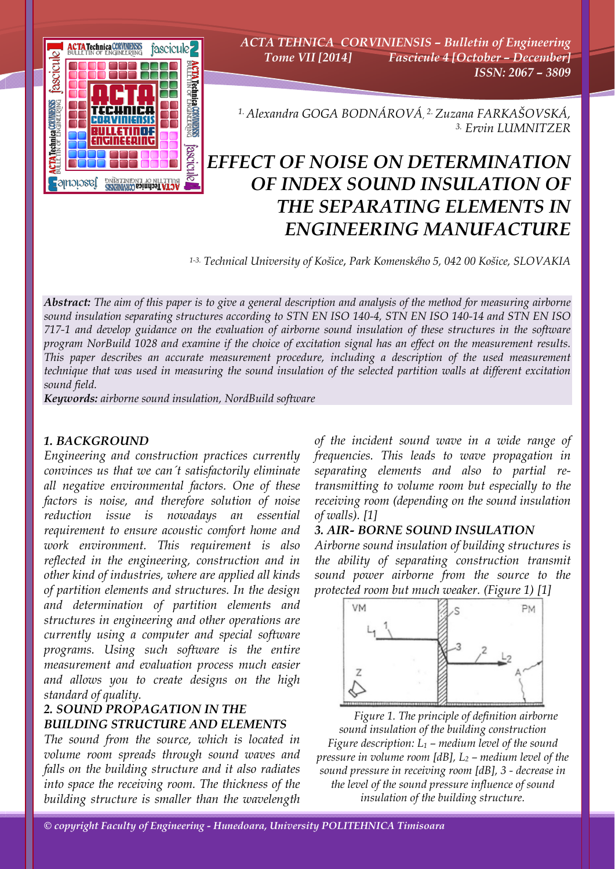

*ACTA TEHNICA CORVINIENSIS – Bulletin of Engineering Tome VII [2014] Fascicule 4 [October – December] ISSN: 2067 – 3809* 

*1. Alexandra GOGA BODNÁROVÁ, 2. Zuzana FARKAŠOVSKÁ, 3. Ervin LUMNITZER* 

# *EFFECT OF NOISE ON DETERMINATION OF INDEX SOUND INSULATION OF THE SEPARATING ELEMENTS IN ENGINEERING MANUFACTURE*

*1-3. Technical University of Košice*, *Park Komenského 5, 042 00 Košice, SLOVAKIA* 

*Abstract: The aim of this paper is to give a general description and analysis of the method for measuring airborne sound insulation separating structures according to STN EN ISO 140-4, STN EN ISO 140-14 and STN EN ISO 717-1 and develop guidance on the evaluation of airborne sound insulation of these structures in the software program NorBuild 1028 and examine if the choice of excitation signal has an effect on the measurement results. This paper describes an accurate measurement procedure, including a description of the used measurement technique that was used in measuring the sound insulation of the selected partition walls at different excitation sound field.* 

*Keywords: airborne sound insulation, NordBuild software*

# *1. BACKGROUND*

*Engineering and construction practices currently convinces us that we can´t satisfactorily eliminate all negative environmental factors. One of these factors is noise, and therefore solution of noise reduction issue is nowadays an essential requirement to ensure acoustic comfort home and work environment. This requirement is also reflected in the engineering, construction and in other kind of industries, where are applied all kinds of partition elements and structures. In the design and determination of partition elements and structures in engineering and other operations are currently using a computer and special software programs. Using such software is the entire measurement and evaluation process much easier and allows you to create designs on the high standard of quality.* 

# *2. SOUND PROPAGATION IN THE BUILDING STRUCTURE AND ELEMENTS*

*The sound from the source, which is located in volume room spreads through sound waves and falls on the building structure and it also radiates into space the receiving room. The thickness of the building structure is smaller than the wavelength* 

*of the incident sound wave in a wide range of frequencies. This leads to wave propagation in separating elements and also to partial retransmitting to volume room but especially to the receiving room (depending on the sound insulation of walls). [1]* 

# *3. AIR- BORNE SOUND INSULATION*

*Airborne sound insulation of building structures is the ability of separating construction transmit sound power airborne from the source to the protected room but much weaker. (Figure 1) [1]* 



*Figure 1. The principle of definition airborne sound insulation of the building construction Figure description: L1 – medium level of the sound pressure in volume room [dB], L2 – medium level of the sound pressure in receiving room [dB], 3 - decrease in the level of the sound pressure influence of sound insulation of the building structure.* 

*© copyright Faculty of Engineering - Hunedoara, University POLITEHNICA Timisoara*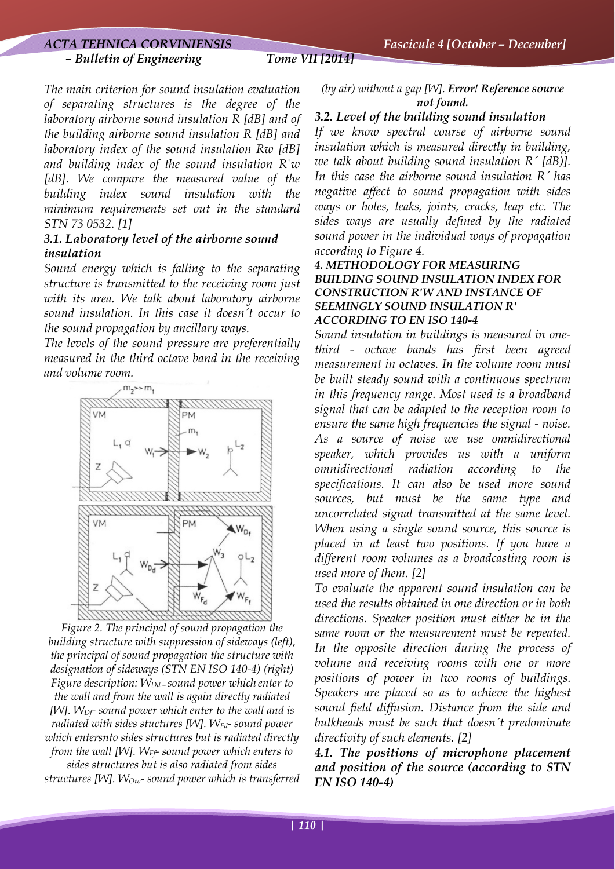#### *– Bulletin of Engineering Tome VII [2014]*

*The main criterion for sound insulation evaluation of separating structures is the degree of the laboratory airborne sound insulation R [dB] and of the building airborne sound insulation R [dB] and laboratory index of the sound insulation Rw [dB] and building index of the sound insulation R'w [dB]. We compare the measured value of the building index sound insulation with the minimum requirements set out in the standard STN 73 0532. [1]*

# *3.1. Laboratory level of the airborne sound insulation*

*Sound energy which is falling to the separating structure is transmitted to the receiving room just with its area. We talk about laboratory airborne sound insulation. In this case it doesn´t occur to the sound propagation by ancillary ways.* 

*The levels of the sound pressure are preferentially measured in the third octave band in the receiving and volume room.* 



*Figure 2. The principal of sound propagation the building structure with suppression of sideways (left), the principal of sound propagation the structure with designation of sideways (STN EN ISO 140-4) (right) Figure description: WDd – sound power which enter to the wall and from the wall is again directly radiated [W]. WDf- sound power which enter to the wall and is radiated with sides stuctures [W]. WFd- sound power which entersnto sides structures but is radiated directly from the wall [W]. W<sub>Ff</sub>- sound power which enters to sides structures but is also radiated from sides structures [W]. WOtv- sound power which is transferred* 

*(by air) without a gap [W]. Error! Reference source not found.*

#### *3.2. Level of the building sound insulation*

*If we know spectral course of airborne sound insulation which is measured directly in building, we talk about building sound insulation R´ [dB)]. In this case the airborne sound insulation R´ has negative affect to sound propagation with sides ways or holes, leaks, joints, cracks, leap etc. The sides ways are usually defined by the radiated sound power in the individual ways of propagation according to Figure 4.* 

# *4. METHODOLOGY FOR MEASURING BUILDING SOUND INSULATION INDEX FOR CONSTRUCTION R'W AND INSTANCE OF SEEMINGLY SOUND INSULATION R' ACCORDING TO EN ISO 140-4*

*Sound insulation in buildings is measured in onethird - octave bands has first been agreed measurement in octaves. In the volume room must be built steady sound with a continuous spectrum in this frequency range. Most used is a broadband signal that can be adapted to the reception room to ensure the same high frequencies the signal - noise. As a source of noise we use omnidirectional speaker, which provides us with a uniform omnidirectional radiation according to the specifications. It can also be used more sound sources, but must be the same type and uncorrelated signal transmitted at the same level. When using a single sound source, this source is placed in at least two positions. If you have a different room volumes as a broadcasting room is used more of them. [2]* 

*To evaluate the apparent sound insulation can be used the results obtained in one direction or in both directions. Speaker position must either be in the same room or the measurement must be repeated. In the opposite direction during the process of volume and receiving rooms with one or more positions of power in two rooms of buildings. Speakers are placed so as to achieve the highest sound field diffusion. Distance from the side and bulkheads must be such that doesn´t predominate directivity of such elements. [2]* 

*4.1. The positions of microphone placement and position of the source (according to STN EN ISO 140-4)*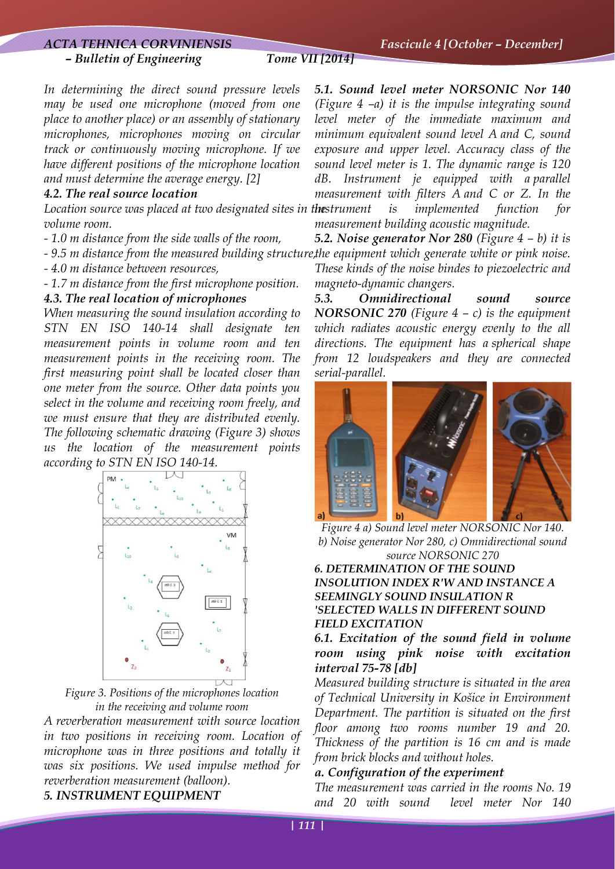# *ACTA TEHNICA CORVINIENSIS Fascicule 4 [October – December]*

#### *– Bulletin of Engineering Tome VII [2014]*

*In determining the direct sound pressure levels may be used one microphone (moved from one place to another place) or an assembly of stationary microphones, microphones moving on circular track or continuously moving microphone. If we have different positions of the microphone location and must determine the average energy. [2]* 

#### *4.2. The real source location*

Location source was placed at two designated sites in the *strument volume room.* 

*- 1.0 m distance from the side walls of the room,* 

*- 9.5 m distance from the measured building structure, the equipment which generate white or pink noise.* 

*- 4.0 m distance between resources,* 

*- 1.7 m distance from the first microphone position.* 

#### *4.3. The real location of microphones*

*When measuring the sound insulation according to STN EN ISO 140-14 shall designate ten measurement points in volume room and ten measurement points in the receiving room. The first measuring point shall be located closer than one meter from the source. Other data points you select in the volume and receiving room freely, and we must ensure that they are distributed evenly. The following schematic drawing (Figure 3) shows us the location of the measurement points according to STN EN ISO 140-14.*



*Figure 3. Positions of the microphones location in the receiving and volume room* 

*A reverberation measurement with source location in two positions in receiving room. Location of microphone was in three positions and totally it was six positions. We used impulse method for reverberation measurement (balloon). 5. INSTRUMENT EQUIPMENT* 

*5.1. Sound level meter NORSONIC Nor 140 (Figure 4 –a) it is the impulse integrating sound level meter of the immediate maximum and minimum equivalent sound level A and C, sound exposure and upper level. Accuracy class of the sound level meter is 1. The dynamic range is 120 dB. Instrument je equipped with a parallel measurement with filters A and C or Z. In the is implemented function for measurement building acoustic magnitude.* 

*5.2. Noise generator Nor 280 (Figure 4 – b) it is These kinds of the noise bindes to piezoelectric and magneto-dynamic changers.* 

*5.3. Omnidirectional sound source NORSONIC 270 (Figure 4 – c) is the equipment which radiates acoustic energy evenly to the all directions. The equipment has a spherical shape from 12 loudspeakers and they are connected serial-parallel.* 



*Figure 4 a) Sound level meter NORSONIC Nor 140. b) Noise generator Nor 280, c) Omnidirectional sound source NORSONIC 270 6. DETERMINATION OF THE SOUND INSOLUTION INDEX R'W AND INSTANCE A SEEMINGLY SOUND INSULATION R 'SELECTED WALLS IN DIFFERENT SOUND FIELD EXCITATION* 

*6.1. Excitation of the sound field in volume room using pink noise with excitation interval 75-78 [db]* 

*Measured building structure is situated in the area of Technical University in Košice in Environment Department. The partition is situated on the first floor among two rooms number 19 and 20. Thickness of the partition is 16 cm and is made from brick blocks and without holes.* 

### *a. Configuration of the experiment*

*The measurement was carried in the rooms No. 19 and 20 with sound level meter Nor 140*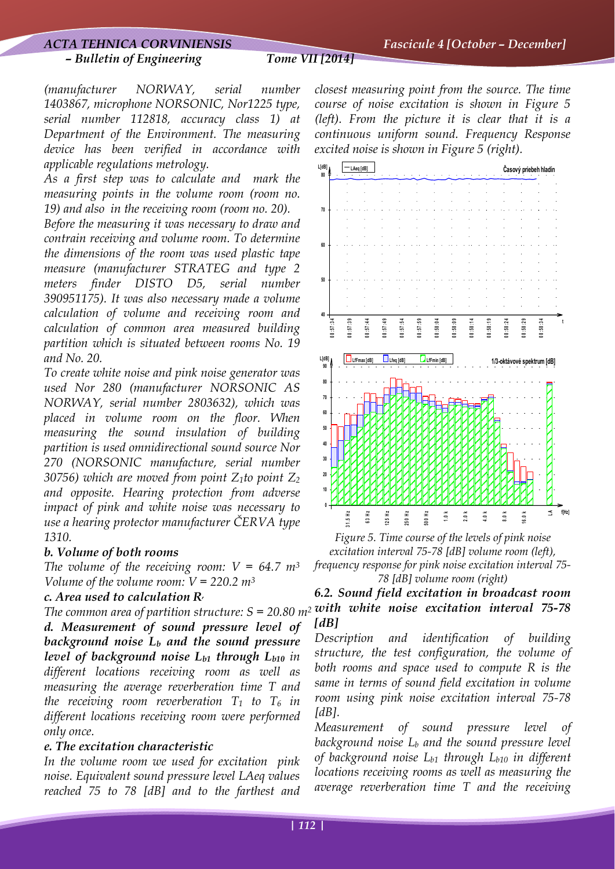### *ACTA TEHNICA CORVINIENSIS Fascicule 4 [October – December]*

#### *– Bulletin of Engineering Tome VII [2014]*

*(manufacturer NORWAY, serial number 1403867, microphone NORSONIC, Nor1225 type, serial number 112818, accuracy class 1) at Department of the Environment. The measuring device has been verified in accordance with applicable regulations metrology.* 

*As a first step was to calculate and mark the measuring points in the volume room (room no. 19) and also in the receiving room (room no. 20).* 

*Before the measuring it was necessary to draw and contrain receiving and volume room. To determine the dimensions of the room was used plastic tape measure (manufacturer STRATEG and type 2 meters finder DISTO D5, serial number 390951175). It was also necessary made a volume calculation of volume and receiving room and calculation of common area measured building partition which is situated between rooms No. 19 and No. 20.* 

*To create white noise and pink noise generator was used Nor 280 (manufacturer NORSONIC AS NORWAY, serial number 2803632), which was placed in volume room on the floor. When measuring the sound insulation of building partition is used omnidirectional sound source Nor 270 (NORSONIC manufacture, serial number 30756) which are moved from point Z1to point Z2 and opposite. Hearing protection from adverse impact of pink and white noise was necessary to use a hearing protector manufacturer ČERVA type 1310.* 

#### *b. Volume of both rooms*

*The volume of the receiving room: V = 64.7 m3 Volume of the volume room: V = 220.2 m3*

### *c. Area used to calculation R,*

*d. Measurement of sound pressure level of background noise Lb and the sound pressure level of background noise Lb1 through Lb10 in different locations receiving room as well as measuring the average reverberation time T and the receiving room reverberation T1 to T6 in different locations receiving room were performed only once.* 

#### *e. The excitation characteristic*

*In the volume room we used for excitation pink noise. Equivalent sound pressure level LAeq values reached 75 to 78 [dB] and to the farthest and* 

*closest measuring point from the source. The time course of noise excitation is shown in Figure 5 (left). From the picture it is clear that it is a continuous uniform sound. Frequency Response excited noise is shown in Figure 5 (right).* 





# *The common area of partition structure: S = 20.80 m2 with white noise excitation interval 75-78 6.2. Sound field excitation in broadcast room [dB]*

*Description and identification of building structure, the test configuration, the volume of both rooms and space used to compute R is the same in terms of sound field excitation in volume room using pink noise excitation interval 75-78 [dB].* 

*Measurement of sound pressure level of background noise Lb and the sound pressure level of background noise Lb1 through Lb10 in different locations receiving rooms as well as measuring the average reverberation time T and the receiving*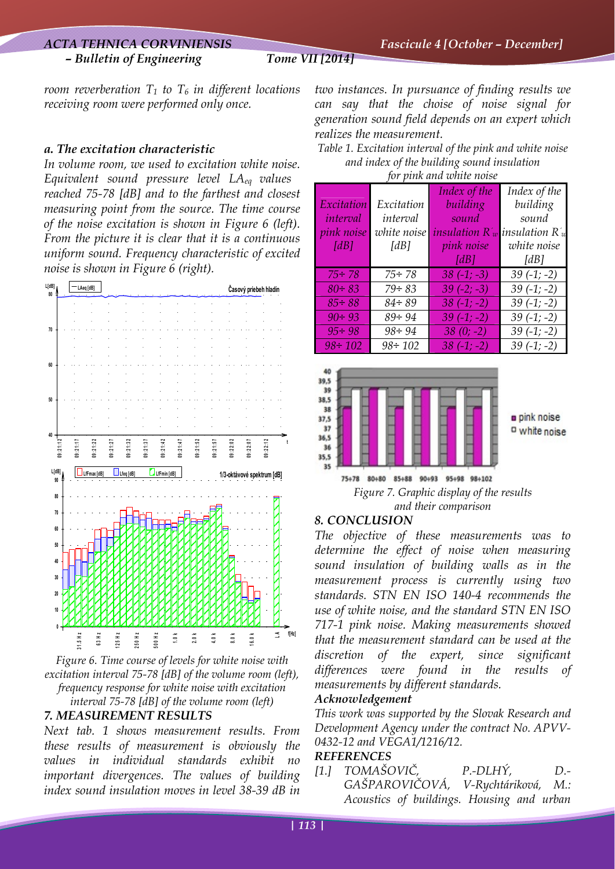# *– Bulletin of Engineering Tome VII [2014]*

*room reverberation*  $T_1$  to  $T_6$  *in different locations receiving room were performed only once.* 

# *a. The excitation characteristic*

*In volume room, we used to excitation white noise. Equivalent sound pressure level LAeq values reached 75-78 [dB] and to the farthest and closest measuring point from the source. The time course of the noise excitation is shown in Figure 6 (left). From the picture it is clear that it is a continuous uniform sound. Frequency characteristic of excited noise is shown in Figure 6 (right).* 



*Figure 6. Time course of levels for white noise with excitation interval 75-78 [dB] of the volume room (left), frequency response for white noise with excitation interval 75-78 [dB] of the volume room (left)* 

# *7. MEASUREMENT RESULTS*

*Next tab. 1 shows measurement results. From these results of measurement is obviously the values in individual standards exhibit no important divergences. The values of building index sound insulation moves in level 38-39 dB in* 

*two instances. In pursuance of finding results we can say that the choise of noise signal for generation sound field depends on an expert which realizes the measurement.* 

*Table 1. Excitation interval of the pink and white noise and index of the building sound insulation for pink and white noise* 

| jor pena ana where not be |               |                         |                    |
|---------------------------|---------------|-------------------------|--------------------|
|                           |               | Index of the            | Index of the       |
| Excitation                | Excitation    | building                | building           |
| interval                  | interval      | sound                   | sound              |
| <i>pink noise</i>         | white noise   | <i>insulation</i> $R_w$ | insulation $R_{w}$ |
| [dB]                      | [dB]          | pink noise              | white noise        |
|                           |               | [dB]                    | [dB]               |
| $75 \div 78$              | $75 \div 78$  | $38(-1; -3)$            | $39(-1; -2)$       |
| $80 \div 83$              | $79 \div 83$  | $39(-2; -3)$            | $39(-1; -2)$       |
| $85 \div 88$              | $84 \div 89$  | $38(-1; -2)$            | $39(-1; -2)$       |
| $90 \div 93$              | $89 \div 94$  | $39(-1; -2)$            | $39(-1; -2)$       |
| $95 \div 98$              | $98 \div 94$  | $38(0; -2)$             | $39(-1; -2)$       |
| $98 \div 102$             | $98 \div 102$ | $38(-1; -2)$            | $39(-1; -2)$       |





# *8. CONCLUSION*

*The objective of these measurements was to determine the effect of noise when measuring sound insulation of building walls as in the measurement process is currently using two standards. STN EN ISO 140-4 recommends the use of white noise, and the standard STN EN ISO 717-1 pink noise. Making measurements showed that the measurement standard can be used at the discretion of the expert, since significant differences were found in the results of measurements by different standards.* 

## *Acknowledgement*

*This work was supported by the Slovak Research and Development Agency under the contract No. APVV-0432-12 and VEGA1/1216/12.* 

## *REFERENCES*

*[1.] TOMAŠOVIČ, P.-DLHÝ, D.- GAŠPAROVIČOVÁ, V-Rychtáriková, M.: Acoustics of buildings. Housing and urban*